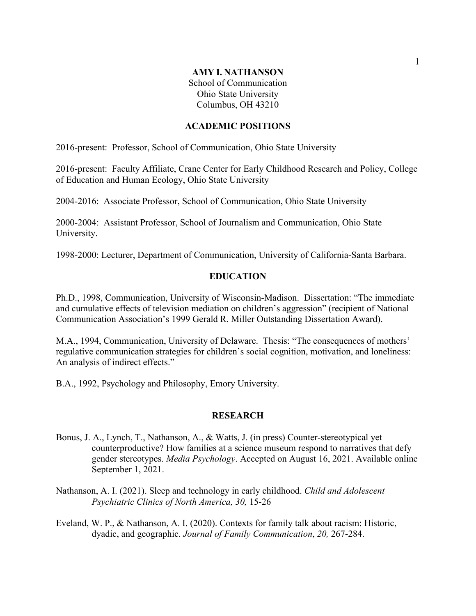### **AMY I. NATHANSON**

School of Communication Ohio State University Columbus, OH 43210

## **ACADEMIC POSITIONS**

2016-present: Professor, School of Communication, Ohio State University

2016-present: Faculty Affiliate, Crane Center for Early Childhood Research and Policy, College of Education and Human Ecology, Ohio State University

2004-2016: Associate Professor, School of Communication, Ohio State University

2000-2004: Assistant Professor, School of Journalism and Communication, Ohio State University.

1998-2000: Lecturer, Department of Communication, University of California-Santa Barbara.

### **EDUCATION**

Ph.D., 1998, Communication, University of Wisconsin-Madison. Dissertation: "The immediate and cumulative effects of television mediation on children's aggression" (recipient of National Communication Association's 1999 Gerald R. Miller Outstanding Dissertation Award).

M.A., 1994, Communication, University of Delaware. Thesis: "The consequences of mothers' regulative communication strategies for children's social cognition, motivation, and loneliness: An analysis of indirect effects."

B.A., 1992, Psychology and Philosophy, Emory University.

#### **RESEARCH**

- Bonus, J. A., Lynch, T., Nathanson, A., & Watts, J. (in press) Counter-stereotypical yet counterproductive? How families at a science museum respond to narratives that defy gender stereotypes. *Media Psychology*. Accepted on August 16, 2021. Available online September 1, 2021.
- Nathanson, A. I. (2021). Sleep and technology in early childhood. *Child and Adolescent Psychiatric Clinics of North America, 30,* 15-26
- Eveland, W. P., & Nathanson, A. I. (2020). Contexts for family talk about racism: Historic, dyadic, and geographic. *Journal of Family Communication*, *20,* 267-284.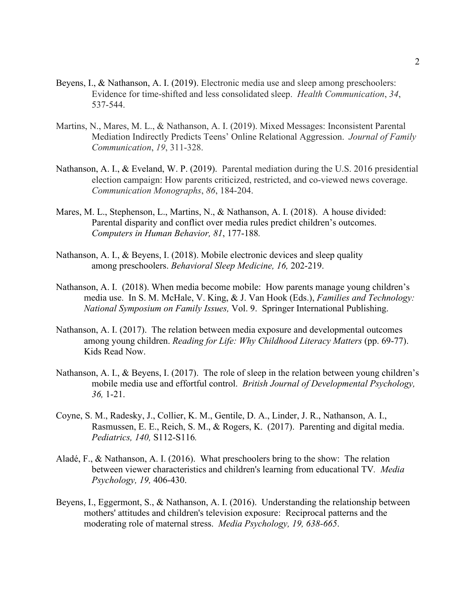- Beyens, I., & Nathanson, A. I. (2019). Electronic media use and sleep among preschoolers: Evidence for time-shifted and less consolidated sleep. *Health Communication*, *34*, 537-544.
- Martins, N., Mares, M. L., & Nathanson, A. I. (2019). Mixed Messages: Inconsistent Parental Mediation Indirectly Predicts Teens' Online Relational Aggression. *Journal of Family Communication*, *19*, 311-328.
- Nathanson, A. I., & Eveland, W. P. (2019). Parental mediation during the U.S. 2016 presidential election campaign: How parents criticized, restricted, and co-viewed news coverage. *Communication Monographs*, *86*, 184-204.
- Mares, M. L., Stephenson, L., Martins, N., & Nathanson, A. I. (2018). A house divided: Parental disparity and conflict over media rules predict children's outcomes. *Computers in Human Behavior, 81*, 177-188*.*
- Nathanson, A. I., & Beyens, I. (2018). Mobile electronic devices and sleep quality among preschoolers. *Behavioral Sleep Medicine, 16,* 202-219.
- Nathanson, A. I. (2018). When media become mobile: How parents manage young children's media use. In S. M. McHale, V. King, & J. Van Hook (Eds.), *Families and Technology: National Symposium on Family Issues,* Vol. 9. Springer International Publishing.
- Nathanson, A. I. (2017). The relation between media exposure and developmental outcomes among young children. *Reading for Life: Why Childhood Literacy Matters* (pp. 69-77). Kids Read Now.
- Nathanson, A. I., & Beyens, I. (2017). The role of sleep in the relation between young children's mobile media use and effortful control. *British Journal of Developmental Psychology, 36,* 1-21.
- Coyne, S. M., Radesky, J., Collier, K. M., Gentile, D. A., Linder, J. R., Nathanson, A. I., Rasmussen, E. E., Reich, S. M., & Rogers, K. (2017). Parenting and digital media. *Pediatrics, 140,* S112-S116*.*
- Aladé, F., & Nathanson, A. I. (2016). What preschoolers bring to the show: The relation between viewer characteristics and children's learning from educational TV*. Media Psychology, 19,* 406-430.
- Beyens, I., Eggermont, S., & Nathanson, A. I. (2016). Understanding the relationship between mothers' attitudes and children's television exposure: Reciprocal patterns and the moderating role of maternal stress. *Media Psychology, 19, 638-665*.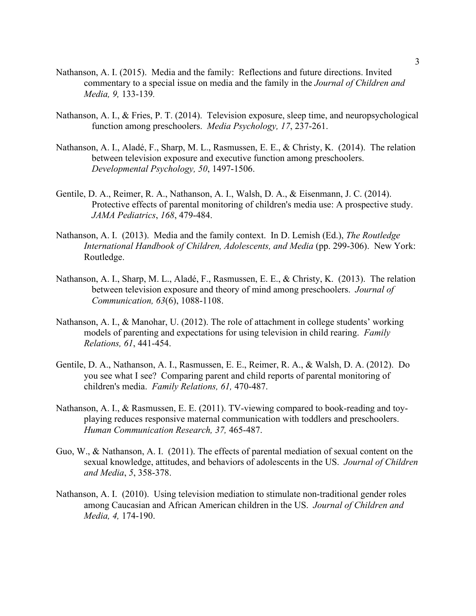- Nathanson, A. I. (2015). Media and the family: Reflections and future directions. Invited commentary to a special issue on media and the family in the *Journal of Children and Media, 9,* 133-139*.*
- Nathanson, A. I., & Fries, P. T. (2014). Television exposure, sleep time, and neuropsychological function among preschoolers. *Media Psychology, 17*, 237-261.
- Nathanson, A. I., Aladé, F., Sharp, M. L., Rasmussen, E. E., & Christy, K. (2014). The relation between television exposure and executive function among preschoolers. *Developmental Psychology, 50*, 1497-1506.
- Gentile, D. A., Reimer, R. A., Nathanson, A. I., Walsh, D. A., & Eisenmann, J. C. (2014). Protective effects of parental monitoring of children's media use: A prospective study. *JAMA Pediatrics*, *168*, 479-484.
- Nathanson, A. I. (2013). Media and the family context. In D. Lemish (Ed.), *The Routledge International Handbook of Children, Adolescents, and Media* (pp. 299-306). New York: Routledge.
- Nathanson, A. I., Sharp, M. L., Aladé, F., Rasmussen, E. E., & Christy, K. (2013). The relation between television exposure and theory of mind among preschoolers. *Journal of Communication, 63*(6), 1088-1108.
- Nathanson, A. I., & Manohar, U. (2012). The role of attachment in college students' working models of parenting and expectations for using television in child rearing. *Family Relations, 61*, 441-454.
- Gentile, D. A., Nathanson, A. I., Rasmussen, E. E., Reimer, R. A., & Walsh, D. A. (2012). Do you see what I see? Comparing parent and child reports of parental monitoring of children's media. *Family Relations, 61,* 470-487.
- Nathanson, A. I., & Rasmussen, E. E. (2011). TV-viewing compared to book-reading and toyplaying reduces responsive maternal communication with toddlers and preschoolers. *Human Communication Research, 37,* 465-487.
- Guo, W., & Nathanson, A. I. (2011). The effects of parental mediation of sexual content on the sexual knowledge, attitudes, and behaviors of adolescents in the US. *Journal of Children and Media*, *5*, 358-378.
- Nathanson, A. I. (2010). Using television mediation to stimulate non-traditional gender roles among Caucasian and African American children in the US. *Journal of Children and Media, 4,* 174-190.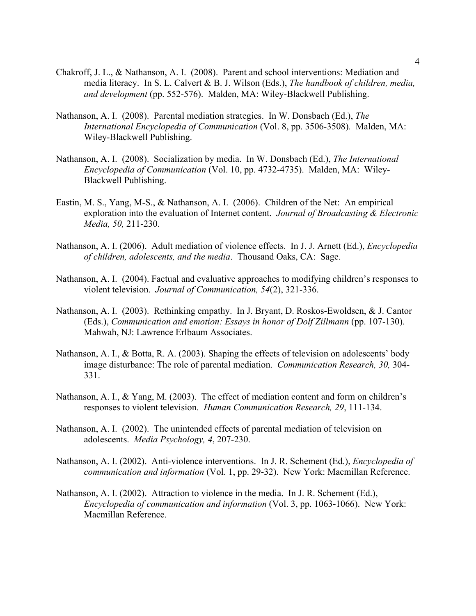- Chakroff, J. L., & Nathanson, A. I. (2008). Parent and school interventions: Mediation and media literacy. In S. L. Calvert & B. J. Wilson (Eds.), *The handbook of children, media, and development* (pp. 552-576). Malden, MA: Wiley-Blackwell Publishing.
- Nathanson, A. I. (2008). Parental mediation strategies. In W. Donsbach (Ed.), *The International Encyclopedia of Communication* (Vol. 8, pp. 3506-3508)*.* Malden, MA: Wiley-Blackwell Publishing.
- Nathanson, A. I. (2008). Socialization by media. In W. Donsbach (Ed.), *The International Encyclopedia of Communication* (Vol. 10, pp. 4732-4735). Malden, MA: Wiley-Blackwell Publishing.
- Eastin, M. S., Yang, M-S., & Nathanson, A. I. (2006). Children of the Net: An empirical exploration into the evaluation of Internet content. *Journal of Broadcasting & Electronic Media, 50,* 211-230.
- Nathanson, A. I. (2006). Adult mediation of violence effects. In J. J. Arnett (Ed.), *Encyclopedia of children, adolescents, and the media*. Thousand Oaks, CA: Sage.
- Nathanson, A. I. (2004). Factual and evaluative approaches to modifying children's responses to violent television. *Journal of Communication, 54*(2), 321-336.
- Nathanson, A. I. (2003). Rethinking empathy. In J. Bryant, D. Roskos-Ewoldsen, & J. Cantor (Eds.), *Communication and emotion: Essays in honor of Dolf Zillmann* (pp. 107-130). Mahwah, NJ: Lawrence Erlbaum Associates.
- Nathanson, A. I., & Botta, R. A. (2003). Shaping the effects of television on adolescents' body image disturbance: The role of parental mediation.*Communication Research, 30,* 304- 331.
- Nathanson, A. I., & Yang, M. (2003). The effect of mediation content and form on children's responses to violent television. *Human Communication Research, 29*, 111-134.
- Nathanson, A. I. (2002). The unintended effects of parental mediation of television on adolescents. *Media Psychology, 4*, 207-230.
- Nathanson, A. I. (2002). Anti-violence interventions. In J. R. Schement (Ed.), *Encyclopedia of communication and information* (Vol. 1, pp. 29-32). New York: Macmillan Reference.
- Nathanson, A. I. (2002). Attraction to violence in the media. In J. R. Schement (Ed.), *Encyclopedia of communication and information* (Vol. 3, pp. 1063-1066). New York: Macmillan Reference.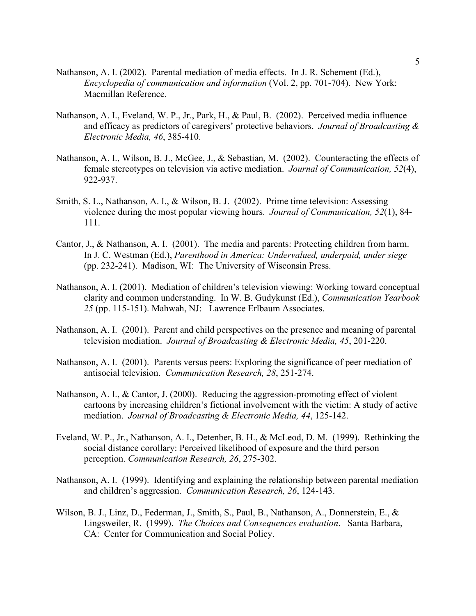- Nathanson, A. I. (2002). Parental mediation of media effects. In J. R. Schement (Ed.), *Encyclopedia of communication and information* (Vol. 2, pp. 701-704). New York: Macmillan Reference.
- Nathanson, A. I., Eveland, W. P., Jr., Park, H., & Paul, B. (2002). Perceived media influence and efficacy as predictors of caregivers' protective behaviors. *Journal of Broadcasting & Electronic Media, 46*, 385-410.
- Nathanson, A. I., Wilson, B. J., McGee, J., & Sebastian, M. (2002). Counteracting the effects of female stereotypes on television via active mediation. *Journal of Communication, 52*(4), 922-937.
- Smith, S. L., Nathanson, A. I., & Wilson, B. J. (2002). Prime time television: Assessing violence during the most popular viewing hours. *Journal of Communication, 52*(1), 84- 111.
- Cantor, J., & Nathanson, A. I. (2001). The media and parents: Protecting children from harm. In J. C. Westman (Ed.), *Parenthood in America: Undervalued, underpaid, under siege*  (pp. 232-241). Madison, WI: The University of Wisconsin Press.
- Nathanson, A. I. (2001). Mediation of children's television viewing: Working toward conceptual clarity and common understanding. In W. B. Gudykunst (Ed.), *Communication Yearbook 25* (pp. 115-151). Mahwah, NJ: Lawrence Erlbaum Associates.
- Nathanson, A. I. (2001). Parent and child perspectives on the presence and meaning of parental television mediation. *Journal of Broadcasting & Electronic Media, 45*, 201-220.
- Nathanson, A. I. (2001). Parents versus peers: Exploring the significance of peer mediation of antisocial television. *Communication Research, 28*, 251-274.
- Nathanson, A. I., & Cantor, J. (2000). Reducing the aggression-promoting effect of violent cartoons by increasing children's fictional involvement with the victim: A study of active mediation. *Journal of Broadcasting & Electronic Media, 44*, 125-142.
- Eveland, W. P., Jr., Nathanson, A. I., Detenber, B. H., & McLeod, D. M. (1999). Rethinking the social distance corollary: Perceived likelihood of exposure and the third person perception. *Communication Research, 26*, 275-302.
- Nathanson, A. I. (1999). Identifying and explaining the relationship between parental mediation and children's aggression. *Communication Research, 26*, 124-143.
- Wilson, B. J., Linz, D., Federman, J., Smith, S., Paul, B., Nathanson, A., Donnerstein, E., & Lingsweiler, R. (1999). *The Choices and Consequences evaluation*. Santa Barbara, CA: Center for Communication and Social Policy.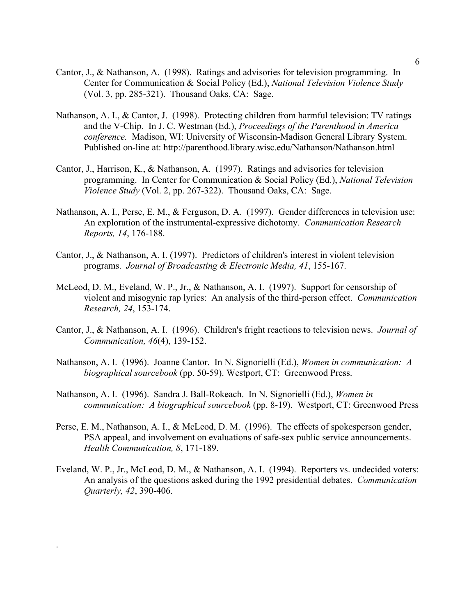- Cantor, J., & Nathanson, A. (1998). Ratings and advisories for television programming. In Center for Communication & Social Policy (Ed.), *National Television Violence Study*  (Vol. 3, pp. 285-321). Thousand Oaks, CA: Sage.
- Nathanson, A. I., & Cantor, J. (1998). Protecting children from harmful television: TV ratings and the V-Chip. In J. C. Westman (Ed.), *Proceedings of the Parenthood in America conference.* Madison, WI: University of Wisconsin-Madison General Library System. Published on-line at: http://parenthood.library.wisc.edu/Nathanson/Nathanson.html
- Cantor, J., Harrison, K., & Nathanson, A. (1997). Ratings and advisories for television programming. In Center for Communication & Social Policy (Ed.), *National Television Violence Study* (Vol. 2, pp. 267-322). Thousand Oaks, CA: Sage.
- Nathanson, A. I., Perse, E. M., & Ferguson, D. A. (1997). Gender differences in television use: An exploration of the instrumental-expressive dichotomy. *Communication Research Reports, 14*, 176-188.
- Cantor, J., & Nathanson, A. I. (1997). Predictors of children's interest in violent television programs. *Journal of Broadcasting & Electronic Media, 41*, 155-167.
- McLeod, D. M., Eveland, W. P., Jr., & Nathanson, A. I. (1997). Support for censorship of violent and misogynic rap lyrics: An analysis of the third-person effect. *Communication Research, 24*, 153-174.
- Cantor, J., & Nathanson, A. I. (1996). Children's fright reactions to television news. *Journal of Communication, 46*(4), 139-152.
- Nathanson, A. I. (1996). Joanne Cantor. In N. Signorielli (Ed.), *Women in communication: A biographical sourcebook* (pp. 50-59). Westport, CT: Greenwood Press.
- Nathanson, A. I. (1996). Sandra J. Ball-Rokeach. In N. Signorielli (Ed.), *Women in communication: A biographical sourcebook* (pp. 8-19). Westport, CT: Greenwood Press
- Perse, E. M., Nathanson, A. I., & McLeod, D. M. (1996). The effects of spokesperson gender, PSA appeal, and involvement on evaluations of safe-sex public service announcements. *Health Communication, 8*, 171-189.
- Eveland, W. P., Jr., McLeod, D. M., & Nathanson, A. I. (1994). Reporters vs. undecided voters: An analysis of the questions asked during the 1992 presidential debates. *Communication Quarterly, 42*, 390-406.

.